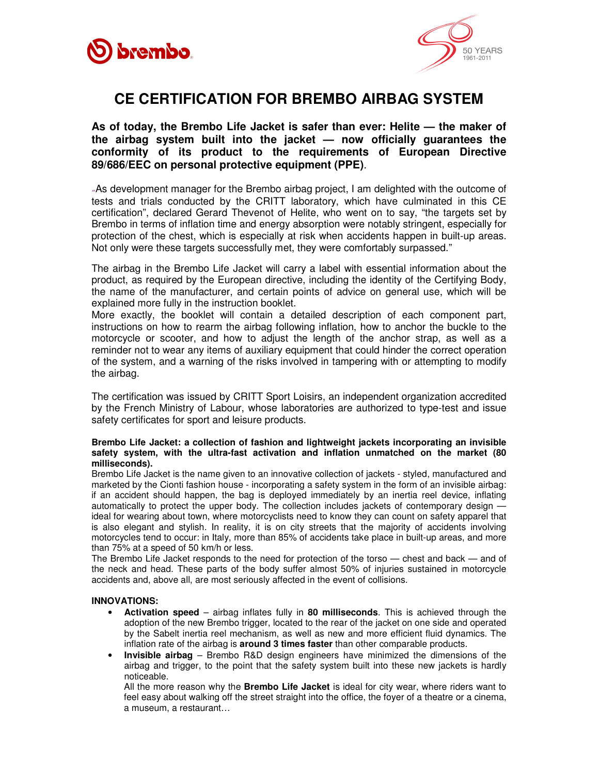



## **CE CERTIFICATION FOR BREMBO AIRBAG SYSTEM**

**As of today, the Brembo Life Jacket is safer than ever: Helite — the maker of the airbag system built into the jacket — now officially guarantees the conformity of its product to the requirements of European Directive 89/686/EEC on personal protective equipment (PPE)**.

"As development manager for the Brembo airbag project, I am delighted with the outcome of tests and trials conducted by the CRITT laboratory, which have culminated in this CE certification", declared Gerard Thevenot of Helite, who went on to say, "the targets set by Brembo in terms of inflation time and energy absorption were notably stringent, especially for protection of the chest, which is especially at risk when accidents happen in built-up areas. Not only were these targets successfully met, they were comfortably surpassed."

The airbag in the Brembo Life Jacket will carry a label with essential information about the product, as required by the European directive, including the identity of the Certifying Body, the name of the manufacturer, and certain points of advice on general use, which will be explained more fully in the instruction booklet.

More exactly, the booklet will contain a detailed description of each component part, instructions on how to rearm the airbag following inflation, how to anchor the buckle to the motorcycle or scooter, and how to adjust the length of the anchor strap, as well as a reminder not to wear any items of auxiliary equipment that could hinder the correct operation of the system, and a warning of the risks involved in tampering with or attempting to modify the airbag.

The certification was issued by CRITT Sport Loisirs, an independent organization accredited by the French Ministry of Labour, whose laboratories are authorized to type-test and issue safety certificates for sport and leisure products.

## **Brembo Life Jacket: a collection of fashion and lightweight jackets incorporating an invisible safety system, with the ultra-fast activation and inflation unmatched on the market (80 milliseconds).**

Brembo Life Jacket is the name given to an innovative collection of jackets - styled, manufactured and marketed by the Cionti fashion house - incorporating a safety system in the form of an invisible airbag: if an accident should happen, the bag is deployed immediately by an inertia reel device, inflating automatically to protect the upper body. The collection includes jackets of contemporary design ideal for wearing about town, where motorcyclists need to know they can count on safety apparel that is also elegant and stylish. In reality, it is on city streets that the majority of accidents involving motorcycles tend to occur: in Italy, more than 85% of accidents take place in built-up areas, and more than 75% at a speed of 50 km/h or less.

The Brembo Life Jacket responds to the need for protection of the torso — chest and back — and of the neck and head. These parts of the body suffer almost 50% of injuries sustained in motorcycle accidents and, above all, are most seriously affected in the event of collisions.

## **INNOVATIONS:**

- **Activation speed**  airbag inflates fully in **80 milliseconds**. This is achieved through the adoption of the new Brembo trigger, located to the rear of the jacket on one side and operated by the Sabelt inertia reel mechanism, as well as new and more efficient fluid dynamics. The inflation rate of the airbag is **around 3 times faster** than other comparable products.
- **Invisible airbag**  Brembo R&D design engineers have minimized the dimensions of the airbag and trigger, to the point that the safety system built into these new jackets is hardly noticeable.

All the more reason why the **Brembo Life Jacket** is ideal for city wear, where riders want to feel easy about walking off the street straight into the office, the foyer of a theatre or a cinema, a museum, a restaurant…